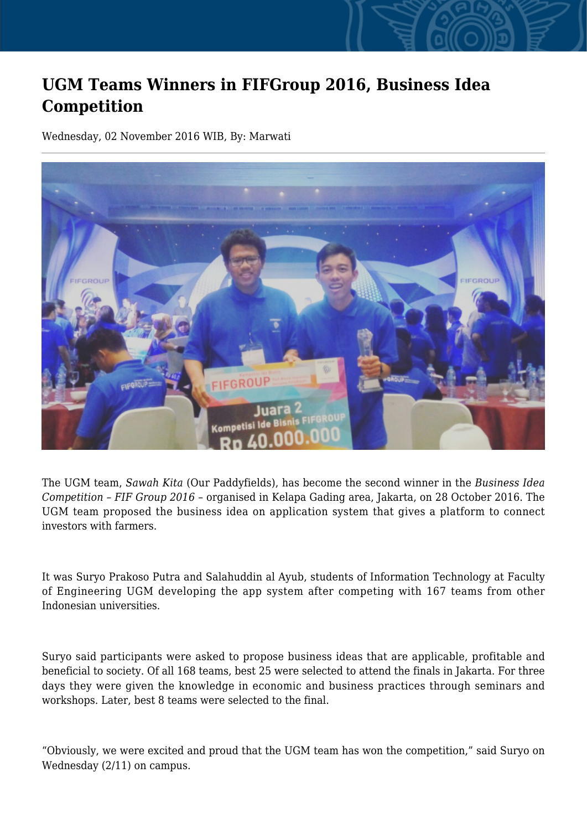## **UGM Teams Winners in FIFGroup 2016, Business Idea Competition**

Wednesday, 02 November 2016 WIB, By: Marwati



The UGM team, *Sawah Kita* (Our Paddyfields), has become the second winner in the *Business Idea Competition – FIF Group 2016* – organised in Kelapa Gading area, Jakarta, on 28 October 2016. The UGM team proposed the business idea on application system that gives a platform to connect investors with farmers.

It was Suryo Prakoso Putra and Salahuddin al Ayub, students of Information Technology at Faculty of Engineering UGM developing the app system after competing with 167 teams from other Indonesian universities.

Suryo said participants were asked to propose business ideas that are applicable, profitable and beneficial to society. Of all 168 teams, best 25 were selected to attend the finals in Jakarta. For three days they were given the knowledge in economic and business practices through seminars and workshops. Later, best 8 teams were selected to the final.

"Obviously, we were excited and proud that the UGM team has won the competition," said Suryo on Wednesday (2/11) on campus.